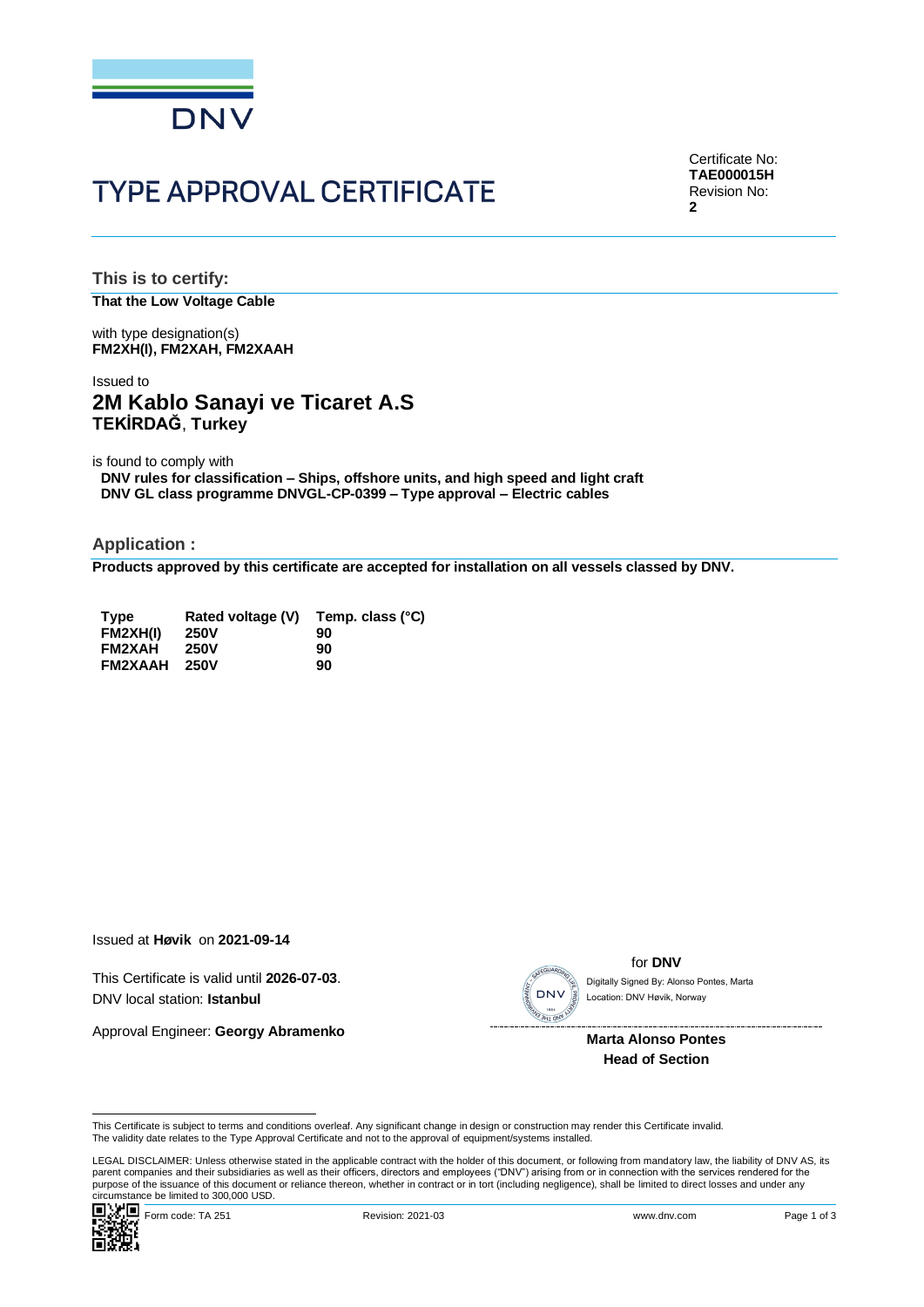

# **TYPE APPROVAL CERTIFICATE**

Certificate No: **TAE000015H** Revision No: **2**

**This is to certify: That the Low Voltage Cable**

with type designation(s) **FM2XH(I), FM2XAH, FM2XAAH**

# Issued to **2M Kablo Sanayi ve Ticaret A.S TEKİRDAĞ**, **Turkey**

is found to comply with

**DNV rules for classification – Ships, offshore units, and high speed and light craft DNV GL class programme DNVGL-CP-0399 – Type approval – Electric cables**

**Application :**

**Products approved by this certificate are accepted for installation on all vessels classed by DNV.**

| <b>Type</b><br>FM2XH(I) | Rated voltage (V)<br><b>250V</b> | Temp. class (°C)<br>90 |
|-------------------------|----------------------------------|------------------------|
| <b>FM2XAH</b>           | <b>250V</b>                      | 90                     |
| <b>FM2XAAH</b>          | <b>250V</b>                      | 90                     |

Issued at **Høvik** on **2021-09-14**

This Certificate is valid until **2026-07-03**. DNV local station: **Istanbul**

Approval Engineer: **Georgy Abramenko**



for **DNV**

Location: DNV Høvik, Norway

**Marta Alonso Pontes Head of Section**

This Certificate is subject to terms and conditions overleaf. Any significant change in design or construction may render this Certificate invalid.<br>The validity date relates to the Type Approval Certificate and not to the

LEGAL DISCLAIMER: Unless otherwise stated in the applicable contract with the holder of this document, or following from mandatory law, the liability of DNV AS, its parent companies and their subsidiaries as well as their officers, directors and employees ("DNV") arising from or in connection with the services rendered for the This Certificate is subject to terms and conditions overleaf. Any significant change in design or construction may render this Certificate invalid.<br>This Certificate is subject to terms and conditions overleaf. Any signific

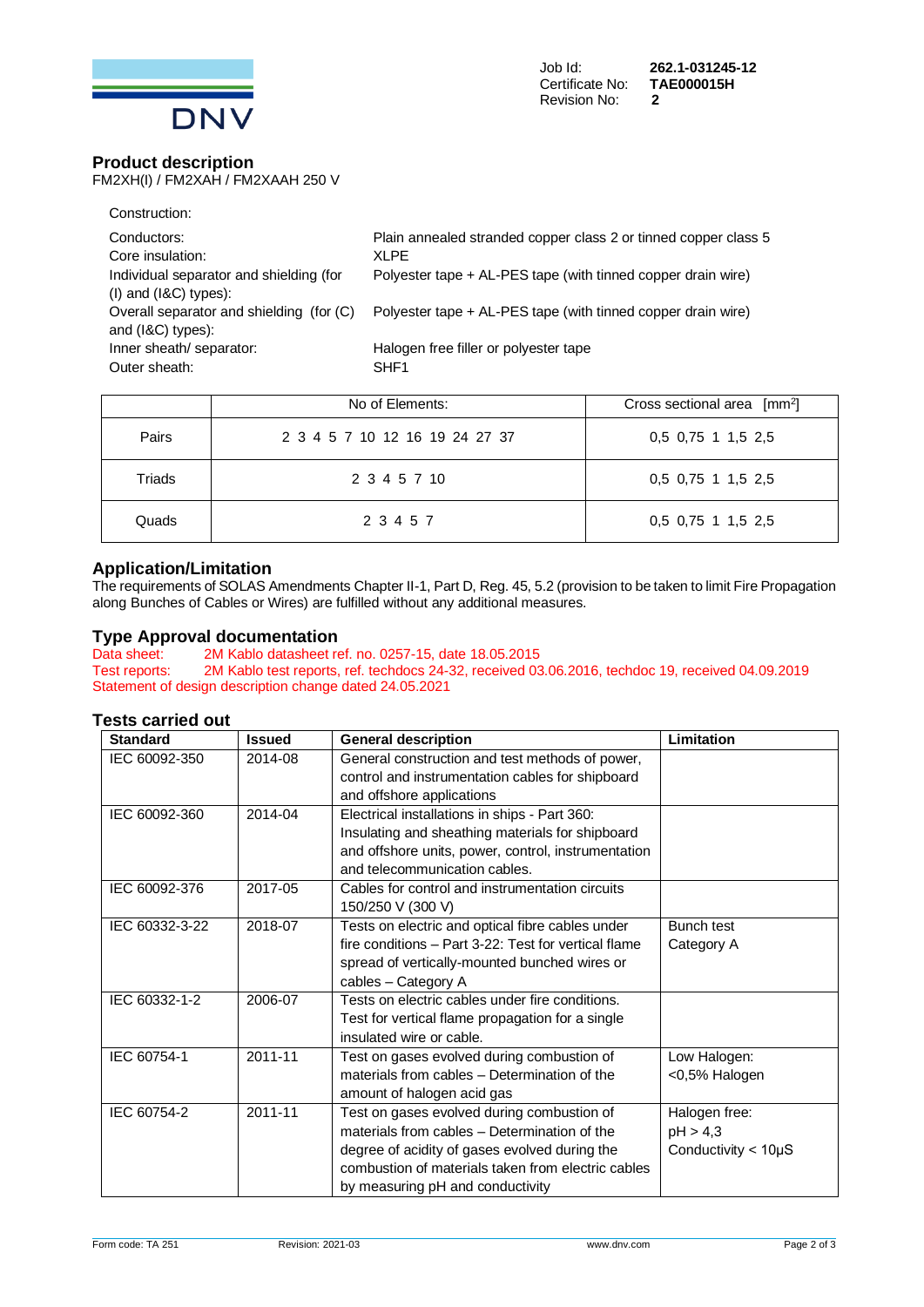

# **Product description**

FM2XH(I) / FM2XAH / FM2XAAH 250 V

| Construction:                            |                                                                 |
|------------------------------------------|-----------------------------------------------------------------|
| Conductors:                              | Plain annealed stranded copper class 2 or tinned copper class 5 |
| Core insulation:                         | XLPF                                                            |
| Individual separator and shielding (for  | Polyester tape + AL-PES tape (with tinned copper drain wire)    |
| $(1)$ and $(18C)$ types):                |                                                                 |
| Overall separator and shielding (for (C) | Polyester tape + AL-PES tape (with tinned copper drain wire)    |
| and $(l&C)$ types):                      |                                                                 |
| Inner sheath/ separator:                 | Halogen free filler or polyester tape                           |
| Outer sheath:                            | SHF <sub>1</sub>                                                |
|                                          |                                                                 |

|        | No of Elements:                | Cross sectional area $\lceil mm^2 \rceil$ |
|--------|--------------------------------|-------------------------------------------|
| Pairs  | 2 3 4 5 7 10 12 16 19 24 27 37 | 0,5 0,75 1 1,5 2,5                        |
| Triads | 2 3 4 5 7 10                   | 0,5 0,75 1 1,5 2,5                        |
| Quads  | 2 3 4 5 7                      | 0,5 0,75 1 1,5 2,5                        |

### **Application/Limitation**

The requirements of SOLAS Amendments Chapter II-1, Part D, Reg. 45, 5.2 (provision to be taken to limit Fire Propagation along Bunches of Cables or Wires) are fulfilled without any additional measures.

# **Type Approval documentation**<br>Data sheet: 2M Kablo datasheet re

Data sheet: 2M Kablo datasheet ref. no. 0257-15, date 18.05.2015<br>Test reports: 2M Kablo test reports, ref. techdocs 24-32, received 03 2M Kablo test reports, ref. techdocs 24-32, received 03.06.2016, techdoc 19, received 04.09.2019 Statement of design description change dated 24.05.2021

#### **Tests carried out**

| <b>Standard</b> | <b>Issued</b> | <b>General description</b>                                                                                                                                                                                                            | Limitation                                               |
|-----------------|---------------|---------------------------------------------------------------------------------------------------------------------------------------------------------------------------------------------------------------------------------------|----------------------------------------------------------|
| IEC 60092-350   | 2014-08       | General construction and test methods of power,<br>control and instrumentation cables for shipboard<br>and offshore applications                                                                                                      |                                                          |
| IEC 60092-360   | 2014-04       | Electrical installations in ships - Part 360:<br>Insulating and sheathing materials for shipboard<br>and offshore units, power, control, instrumentation<br>and telecommunication cables.                                             |                                                          |
| IEC 60092-376   | 2017-05       | Cables for control and instrumentation circuits<br>150/250 V (300 V)                                                                                                                                                                  |                                                          |
| IEC 60332-3-22  | 2018-07       | Tests on electric and optical fibre cables under<br>fire conditions - Part 3-22: Test for vertical flame<br>spread of vertically-mounted bunched wires or<br>cables - Category A                                                      | <b>Bunch test</b><br>Category A                          |
| IEC 60332-1-2   | 2006-07       | Tests on electric cables under fire conditions.<br>Test for vertical flame propagation for a single<br>insulated wire or cable.                                                                                                       |                                                          |
| IEC 60754-1     | 2011-11       | Test on gases evolved during combustion of<br>materials from cables - Determination of the<br>amount of halogen acid gas                                                                                                              | Low Halogen:<br><0,5% Halogen                            |
| IEC 60754-2     | 2011-11       | Test on gases evolved during combustion of<br>materials from cables - Determination of the<br>degree of acidity of gases evolved during the<br>combustion of materials taken from electric cables<br>by measuring pH and conductivity | Halogen free:<br>pH > 4,3<br>Conductivity $<$ 10 $\mu$ S |